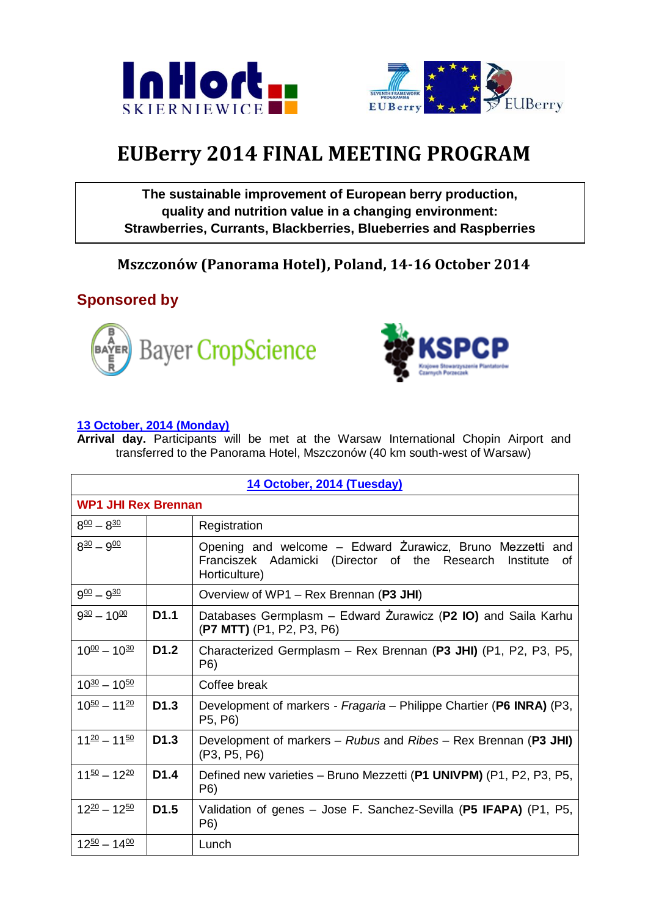



## **EUBerry 2014 FINAL MEETING PROGRAM**

**The sustainable improvement of European berry production, quality and nutrition value in a changing environment: Strawberries, Currants, Blackberries, Blueberries and Raspberries**

**Mszczonów (Panorama Hotel), Poland, 14-16 October 2014**

## **Sponsored by**





## **13 October, 2014 (Monday)**

**Arrival day.** Participants will be met at the Warsaw International Chopin Airport and transferred to the Panorama Hotel, Mszczonów (40 km south-west of Warsaw)

| 14 October, 2014 (Tuesday) |                  |                                                                                                                                             |  |  |  |
|----------------------------|------------------|---------------------------------------------------------------------------------------------------------------------------------------------|--|--|--|
| <b>WP1 JHI Rex Brennan</b> |                  |                                                                                                                                             |  |  |  |
| $8^{00} - 8^{30}$          |                  | Registration                                                                                                                                |  |  |  |
| $8^{30} - 9^{00}$          |                  | Opening and welcome – Edward Zurawicz, Bruno Mezzetti and<br>Franciszek Adamicki (Director of the Research Institute<br>of<br>Horticulture) |  |  |  |
| $9^{00} - 9^{30}$          |                  | Overview of WP1 - Rex Brennan (P3 JHI)                                                                                                      |  |  |  |
| $9^{30} - 10^{00}$         | D <sub>1.1</sub> | Databases Germplasm – Edward Żurawicz (P2 IO) and Saila Karhu<br>(P7 MTT) (P1, P2, P3, P6)                                                  |  |  |  |
| $10^{00} - 10^{30}$        | D <sub>1.2</sub> | Characterized Germplasm - Rex Brennan (P3 JHI) (P1, P2, P3, P5,<br>P6)                                                                      |  |  |  |
| $10^{30} - 10^{50}$        |                  | Coffee break                                                                                                                                |  |  |  |
| $10^{50} - 11^{20}$        | D <sub>1.3</sub> | Development of markers - Fragaria - Philippe Chartier (P6 INRA) (P3,<br>P5, P6)                                                             |  |  |  |
| $11^{20} - 11^{50}$        | D <sub>1.3</sub> | Development of markers – Rubus and Ribes – Rex Brennan (P3 JHI)<br>(P3, P5, P6)                                                             |  |  |  |
| $11^{50} - 12^{20}$        | D <sub>1.4</sub> | Defined new varieties - Bruno Mezzetti (P1 UNIVPM) (P1, P2, P3, P5,<br>P6)                                                                  |  |  |  |
| $12^{20} - 12^{50}$        | D <sub>1.5</sub> | Validation of genes – Jose F. Sanchez-Sevilla (P5 IFAPA) (P1, P5,<br>P6)                                                                    |  |  |  |
| $12^{50} - 14^{00}$        |                  | Lunch                                                                                                                                       |  |  |  |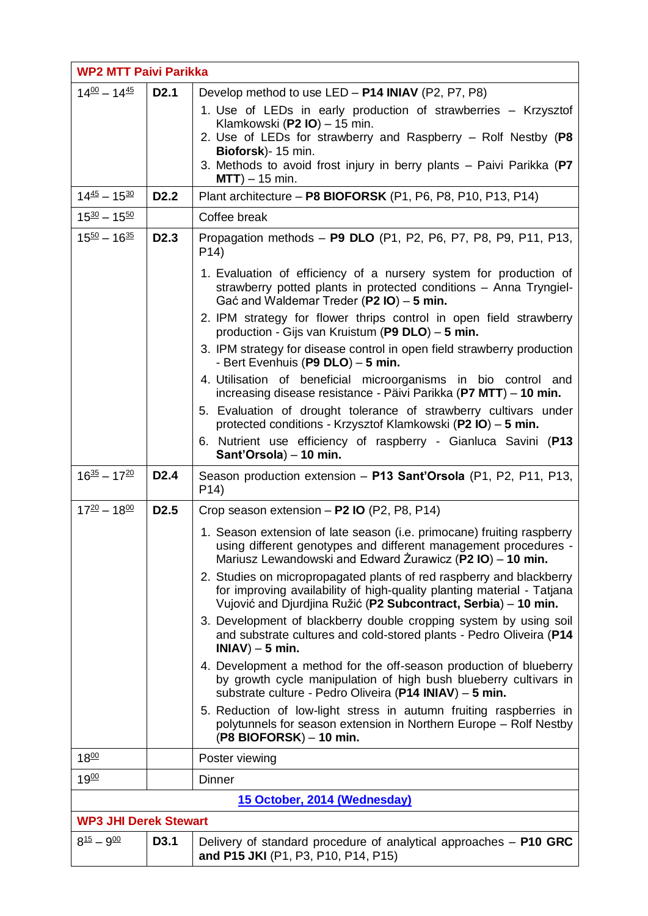| <b>WP2 MTT Paivi Parikka</b>      |                  |                                                                                                                                                                                                                  |  |  |
|-----------------------------------|------------------|------------------------------------------------------------------------------------------------------------------------------------------------------------------------------------------------------------------|--|--|
| $14\frac{00}{2} - 14\frac{45}{2}$ | D <sub>2.1</sub> | Develop method to use LED - P14 INIAV (P2, P7, P8)                                                                                                                                                               |  |  |
|                                   |                  | 1. Use of LEDs in early production of strawberries - Krzysztof<br>Klamkowski (P2 IO) - 15 min.<br>2. Use of LEDs for strawberry and Raspberry - Rolf Nestby (P8                                                  |  |  |
|                                   |                  | Bioforsk)- 15 min.<br>3. Methods to avoid frost injury in berry plants - Paivi Parikka (P7<br>$MTT$ ) – 15 min.                                                                                                  |  |  |
| $14\frac{45}{2} - 15\frac{30}{2}$ | D <sub>2.2</sub> | Plant architecture - P8 BIOFORSK (P1, P6, P8, P10, P13, P14)                                                                                                                                                     |  |  |
| $15^{30} - 15^{50}$               |                  | Coffee break                                                                                                                                                                                                     |  |  |
| $15^{50} - 16^{35}$               | D <sub>2.3</sub> | Propagation methods - P9 DLO (P1, P2, P6, P7, P8, P9, P11, P13,<br>P <sub>14</sub> )                                                                                                                             |  |  |
|                                   |                  | 1. Evaluation of efficiency of a nursery system for production of<br>strawberry potted plants in protected conditions - Anna Tryngiel-<br>Gać and Waldemar Treder (P2 $IO$ ) – 5 min.                            |  |  |
|                                   |                  | 2. IPM strategy for flower thrips control in open field strawberry<br>production - Gijs van Kruistum (P9 DLO) - 5 min.                                                                                           |  |  |
|                                   |                  | 3. IPM strategy for disease control in open field strawberry production<br>- Bert Evenhuis (P9 DLO) - 5 min.                                                                                                     |  |  |
|                                   |                  | 4. Utilisation of beneficial microorganisms in bio control and<br>increasing disease resistance - Päivi Parikka (P7 MTT) - 10 min.                                                                               |  |  |
|                                   |                  | 5. Evaluation of drought tolerance of strawberry cultivars under<br>protected conditions - Krzysztof Klamkowski (P2 IO) – 5 min.                                                                                 |  |  |
|                                   |                  | 6. Nutrient use efficiency of raspberry - Gianluca Savini (P13<br>Sant'Orsola) - 10 min.                                                                                                                         |  |  |
| $16^{35} - 17^{20}$               | D <sub>2.4</sub> | Season production extension - P13 Sant'Orsola (P1, P2, P11, P13,<br>P <sub>14</sub> )                                                                                                                            |  |  |
| $17^{20} - 18^{00}$               | D <sub>2.5</sub> | Crop season extension - P2 IO (P2, P8, P14)                                                                                                                                                                      |  |  |
|                                   |                  | 1. Season extension of late season (i.e. primocane) fruiting raspberry                                                                                                                                           |  |  |
|                                   |                  | using different genotypes and different management procedures -<br>Mariusz Lewandowski and Edward Żurawicz (P2 IO) – 10 min.                                                                                     |  |  |
|                                   |                  | 2. Studies on micropropagated plants of red raspberry and blackberry<br>for improving availability of high-quality planting material - Tatjana<br>Vujović and Djurdjina Ružić (P2 Subcontract, Serbia) - 10 min. |  |  |
|                                   |                  | 3. Development of blackberry double cropping system by using soil<br>and substrate cultures and cold-stored plants - Pedro Oliveira (P14<br>$INIAV$ ) - 5 min.                                                   |  |  |
|                                   |                  | 4. Development a method for the off-season production of blueberry<br>by growth cycle manipulation of high bush blueberry cultivars in<br>substrate culture - Pedro Oliveira (P14 INIAV) - 5 min.                |  |  |
|                                   |                  | 5. Reduction of low-light stress in autumn fruiting raspberries in<br>polytunnels for season extension in Northern Europe - Rolf Nestby<br>$( P8 BIOFORM ) - 10 min.$                                            |  |  |
| 18 <sup>00</sup>                  |                  | Poster viewing                                                                                                                                                                                                   |  |  |
| $19^{00}$                         |                  | <b>Dinner</b>                                                                                                                                                                                                    |  |  |
|                                   |                  | 15 October, 2014 (Wednesday)                                                                                                                                                                                     |  |  |
| <b>WP3 JHI Derek Stewart</b>      |                  |                                                                                                                                                                                                                  |  |  |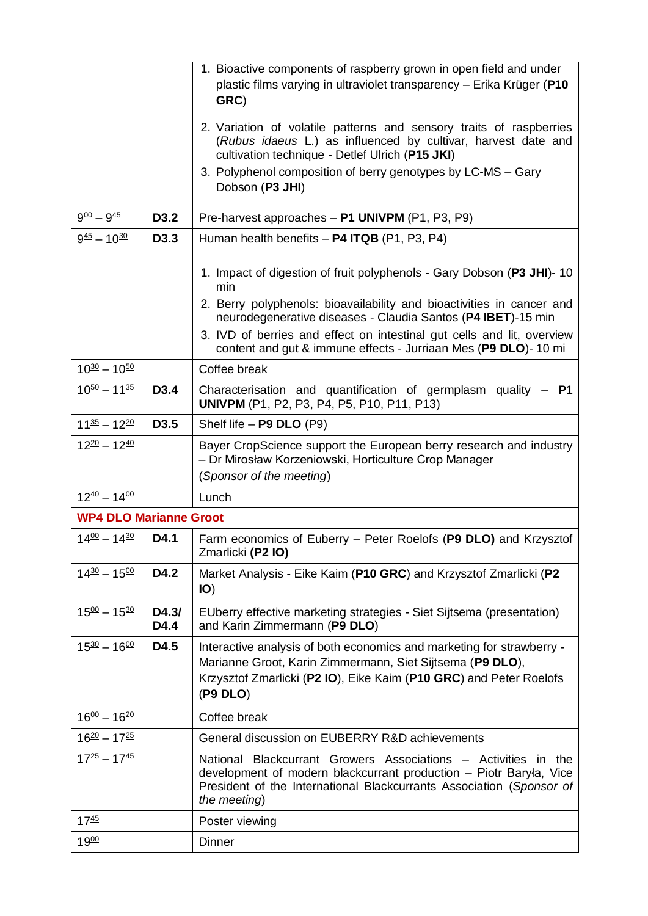|                                             |                  | 1. Bioactive components of raspberry grown in open field and under<br>plastic films varying in ultraviolet transparency - Erika Krüger (P10<br>GRC)<br>2. Variation of volatile patterns and sensory traits of raspberries<br>(Rubus idaeus L.) as influenced by cultivar, harvest date and<br>cultivation technique - Detlef Ulrich (P15 JKI)<br>3. Polyphenol composition of berry genotypes by LC-MS - Gary<br>Dobson (P3 JHI) |
|---------------------------------------------|------------------|-----------------------------------------------------------------------------------------------------------------------------------------------------------------------------------------------------------------------------------------------------------------------------------------------------------------------------------------------------------------------------------------------------------------------------------|
| $9^{00} - 9^{45}$                           | D3.2             | Pre-harvest approaches - P1 UNIVPM (P1, P3, P9)                                                                                                                                                                                                                                                                                                                                                                                   |
| $9^{45} - 10^{30}$                          | D <sub>3.3</sub> | Human health benefits $-$ P4 ITQB (P1, P3, P4)                                                                                                                                                                                                                                                                                                                                                                                    |
|                                             |                  | 1. Impact of digestion of fruit polyphenols - Gary Dobson (P3 JHI)- 10<br>min                                                                                                                                                                                                                                                                                                                                                     |
|                                             |                  | 2. Berry polyphenols: bioavailability and bioactivities in cancer and<br>neurodegenerative diseases - Claudia Santos (P4 IBET)-15 min                                                                                                                                                                                                                                                                                             |
|                                             |                  | 3. IVD of berries and effect on intestinal gut cells and lit, overview<br>content and gut & immune effects - Jurriaan Mes (P9 DLO)-10 mi                                                                                                                                                                                                                                                                                          |
| $10^{30} - 10^{50}$                         |                  | Coffee break                                                                                                                                                                                                                                                                                                                                                                                                                      |
| $10^{50} - 11^{35}$                         | D <sub>3.4</sub> | Characterisation and quantification of germplasm quality - P1<br>UNIVPM (P1, P2, P3, P4, P5, P10, P11, P13)                                                                                                                                                                                                                                                                                                                       |
| $11^{35} - 12^{20}$                         | D <sub>3.5</sub> | Shelf life - P9 DLO (P9)                                                                                                                                                                                                                                                                                                                                                                                                          |
| $12^{20} - 12^{40}$                         |                  | Bayer CropScience support the European berry research and industry<br>- Dr Mirosław Korzeniowski, Horticulture Crop Manager<br>(Sponsor of the meeting)                                                                                                                                                                                                                                                                           |
| $12^{40} - 14^{00}$                         |                  | Lunch                                                                                                                                                                                                                                                                                                                                                                                                                             |
| <b>WP4 DLO Marianne Groot</b>               |                  |                                                                                                                                                                                                                                                                                                                                                                                                                                   |
| $14^{00} - 14^{30}$                         | D4.1             | Farm economics of Euberry - Peter Roelofs (P9 DLO) and Krzysztof<br>Zmarlicki (P2 IO)                                                                                                                                                                                                                                                                                                                                             |
| $14^{30} - 15^{00}$                         | D4.2             | Market Analysis - Eike Kaim (P10 GRC) and Krzysztof Zmarlicki (P2<br>IO)                                                                                                                                                                                                                                                                                                                                                          |
| $15^{00} - 15^{30}$                         | D4.3/<br>D4.4    | EUberry effective marketing strategies - Siet Sijtsema (presentation)<br>and Karin Zimmermann (P9 DLO)                                                                                                                                                                                                                                                                                                                            |
| $15^{30} - 16^{00}$                         | D4.5             | Interactive analysis of both economics and marketing for strawberry -<br>Marianne Groot, Karin Zimmermann, Siet Sijtsema (P9 DLO),<br>Krzysztof Zmarlicki (P2 IO), Eike Kaim (P10 GRC) and Peter Roelofs<br>( P9 DLO)                                                                                                                                                                                                             |
| $16\frac{00}{2} - 16\frac{20}{2}$           |                  | Coffee break                                                                                                                                                                                                                                                                                                                                                                                                                      |
| $16^{20} - 17^{25}$                         |                  | General discussion on EUBERRY R&D achievements                                                                                                                                                                                                                                                                                                                                                                                    |
| $17^{\underline{25}} - 17^{\underline{45}}$ |                  | National Blackcurrant Growers Associations - Activities in the<br>development of modern blackcurrant production - Piotr Baryła, Vice<br>President of the International Blackcurrants Association (Sponsor of<br>the meeting)                                                                                                                                                                                                      |
| $17^{45}$                                   |                  | Poster viewing                                                                                                                                                                                                                                                                                                                                                                                                                    |
| 1900                                        |                  | <b>Dinner</b>                                                                                                                                                                                                                                                                                                                                                                                                                     |